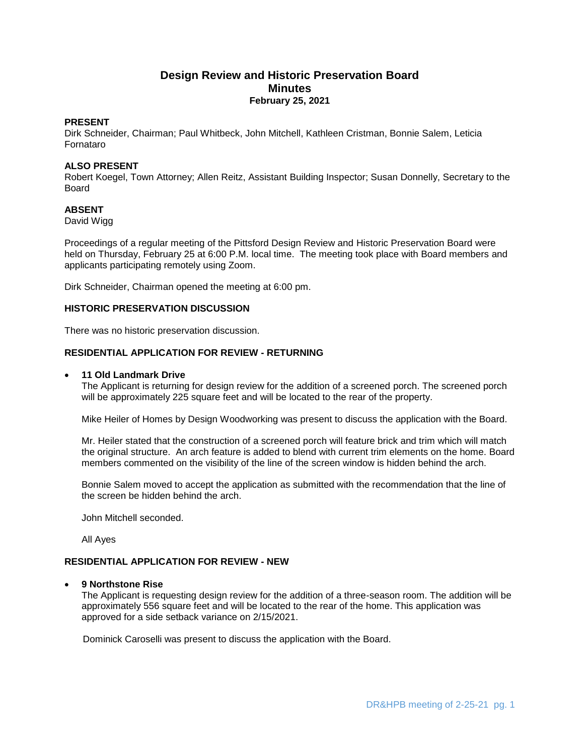# **Design Review and Historic Preservation Board Minutes February 25, 2021**

#### **PRESENT**

Dirk Schneider, Chairman; Paul Whitbeck, John Mitchell, Kathleen Cristman, Bonnie Salem, Leticia Fornataro

## **ALSO PRESENT**

Robert Koegel, Town Attorney; Allen Reitz, Assistant Building Inspector; Susan Donnelly, Secretary to the Board

### **ABSENT**

David Wigg

Proceedings of a regular meeting of the Pittsford Design Review and Historic Preservation Board were held on Thursday, February 25 at 6:00 P.M. local time. The meeting took place with Board members and applicants participating remotely using Zoom.

Dirk Schneider, Chairman opened the meeting at 6:00 pm.

#### **HISTORIC PRESERVATION DISCUSSION**

There was no historic preservation discussion.

### **RESIDENTIAL APPLICATION FOR REVIEW - RETURNING**

#### **11 Old Landmark Drive**

The Applicant is returning for design review for the addition of a screened porch. The screened porch will be approximately 225 square feet and will be located to the rear of the property.

Mike Heiler of Homes by Design Woodworking was present to discuss the application with the Board.

Mr. Heiler stated that the construction of a screened porch will feature brick and trim which will match the original structure. An arch feature is added to blend with current trim elements on the home. Board members commented on the visibility of the line of the screen window is hidden behind the arch.

Bonnie Salem moved to accept the application as submitted with the recommendation that the line of the screen be hidden behind the arch.

John Mitchell seconded.

All Ayes

## **RESIDENTIAL APPLICATION FOR REVIEW - NEW**

#### **9 Northstone Rise**

The Applicant is requesting design review for the addition of a three-season room. The addition will be approximately 556 square feet and will be located to the rear of the home. This application was approved for a side setback variance on 2/15/2021.

Dominick Caroselli was present to discuss the application with the Board.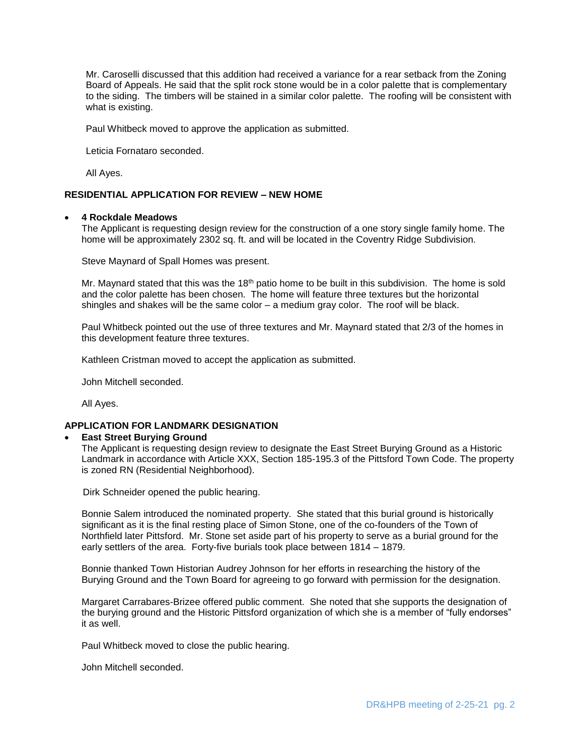Mr. Caroselli discussed that this addition had received a variance for a rear setback from the Zoning Board of Appeals. He said that the split rock stone would be in a color palette that is complementary to the siding. The timbers will be stained in a similar color palette. The roofing will be consistent with what is existing.

Paul Whitbeck moved to approve the application as submitted.

Leticia Fornataro seconded.

All Ayes.

### **RESIDENTIAL APPLICATION FOR REVIEW – NEW HOME**

#### **4 Rockdale Meadows**

The Applicant is requesting design review for the construction of a one story single family home. The home will be approximately 2302 sq. ft. and will be located in the Coventry Ridge Subdivision.

Steve Maynard of Spall Homes was present.

Mr. Maynard stated that this was the 18<sup>th</sup> patio home to be built in this subdivision. The home is sold and the color palette has been chosen. The home will feature three textures but the horizontal shingles and shakes will be the same color – a medium gray color. The roof will be black.

Paul Whitbeck pointed out the use of three textures and Mr. Maynard stated that 2/3 of the homes in this development feature three textures.

Kathleen Cristman moved to accept the application as submitted.

John Mitchell seconded.

All Ayes.

#### **APPLICATION FOR LANDMARK DESIGNATION**

#### **East Street Burying Ground**

The Applicant is requesting design review to designate the East Street Burying Ground as a Historic Landmark in accordance with Article XXX, Section 185-195.3 of the Pittsford Town Code. The property is zoned RN (Residential Neighborhood).

Dirk Schneider opened the public hearing.

Bonnie Salem introduced the nominated property. She stated that this burial ground is historically significant as it is the final resting place of Simon Stone, one of the co-founders of the Town of Northfield later Pittsford. Mr. Stone set aside part of his property to serve as a burial ground for the early settlers of the area. Forty-five burials took place between 1814 – 1879.

Bonnie thanked Town Historian Audrey Johnson for her efforts in researching the history of the Burying Ground and the Town Board for agreeing to go forward with permission for the designation.

Margaret Carrabares-Brizee offered public comment. She noted that she supports the designation of the burying ground and the Historic Pittsford organization of which she is a member of "fully endorses" it as well.

Paul Whitbeck moved to close the public hearing.

John Mitchell seconded.